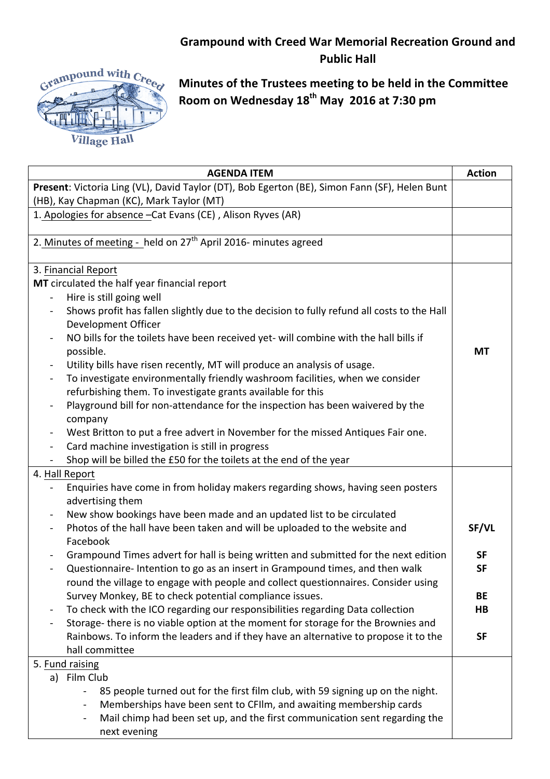## **Grampound with Creed War Memorial Recreation Ground and Public Hall**



**Minutes of the Trustees meeting to be held in the Committee Room on Wednesday 18th May 2016 at 7:30 pm**

| <b>AGENDA ITEM</b>                                                                                                   | <b>Action</b> |  |
|----------------------------------------------------------------------------------------------------------------------|---------------|--|
| Present: Victoria Ling (VL), David Taylor (DT), Bob Egerton (BE), Simon Fann (SF), Helen Bunt                        |               |  |
| (HB), Kay Chapman (KC), Mark Taylor (MT)                                                                             |               |  |
| 1. Apologies for absence - Cat Evans (CE), Alison Ryves (AR)                                                         |               |  |
| 2. Minutes of meeting - held on 27 <sup>th</sup> April 2016- minutes agreed                                          |               |  |
|                                                                                                                      |               |  |
| 3. Financial Report                                                                                                  |               |  |
| MT circulated the half year financial report                                                                         |               |  |
| Hire is still going well                                                                                             |               |  |
| Shows profit has fallen slightly due to the decision to fully refund all costs to the Hall<br>Development Officer    |               |  |
| NO bills for the toilets have been received yet- will combine with the hall bills if<br>$\qquad \qquad \blacksquare$ |               |  |
| possible.                                                                                                            | <b>MT</b>     |  |
| Utility bills have risen recently, MT will produce an analysis of usage.<br>÷                                        |               |  |
| To investigate environmentally friendly washroom facilities, when we consider<br>$\blacksquare$                      |               |  |
| refurbishing them. To investigate grants available for this                                                          |               |  |
| Playground bill for non-attendance for the inspection has been waivered by the<br>$\qquad \qquad \blacksquare$       |               |  |
| company                                                                                                              |               |  |
| West Britton to put a free advert in November for the missed Antiques Fair one.<br>$\blacksquare$                    |               |  |
| Card machine investigation is still in progress                                                                      |               |  |
| Shop will be billed the £50 for the toilets at the end of the year                                                   |               |  |
| 4. Hall Report                                                                                                       |               |  |
| Enquiries have come in from holiday makers regarding shows, having seen posters                                      |               |  |
| advertising them                                                                                                     |               |  |
| New show bookings have been made and an updated list to be circulated<br>$\blacksquare$                              |               |  |
| Photos of the hall have been taken and will be uploaded to the website and<br>Facebook                               | SF/VL         |  |
| Grampound Times advert for hall is being written and submitted for the next edition                                  | <b>SF</b>     |  |
| Questionnaire-Intention to go as an insert in Grampound times, and then walk                                         | <b>SF</b>     |  |
| round the village to engage with people and collect questionnaires. Consider using                                   |               |  |
| Survey Monkey, BE to check potential compliance issues.                                                              | <b>BE</b>     |  |
| To check with the ICO regarding our responsibilities regarding Data collection<br>$\blacksquare$                     | HB            |  |
| Storage-there is no viable option at the moment for storage for the Brownies and                                     |               |  |
| Rainbows. To inform the leaders and if they have an alternative to propose it to the                                 | <b>SF</b>     |  |
| hall committee                                                                                                       |               |  |
| 5. Fund raising                                                                                                      |               |  |
| a) Film Club                                                                                                         |               |  |
| 85 people turned out for the first film club, with 59 signing up on the night.                                       |               |  |
| Memberships have been sent to CFIIm, and awaiting membership cards                                                   |               |  |
| Mail chimp had been set up, and the first communication sent regarding the                                           |               |  |
| next evening                                                                                                         |               |  |